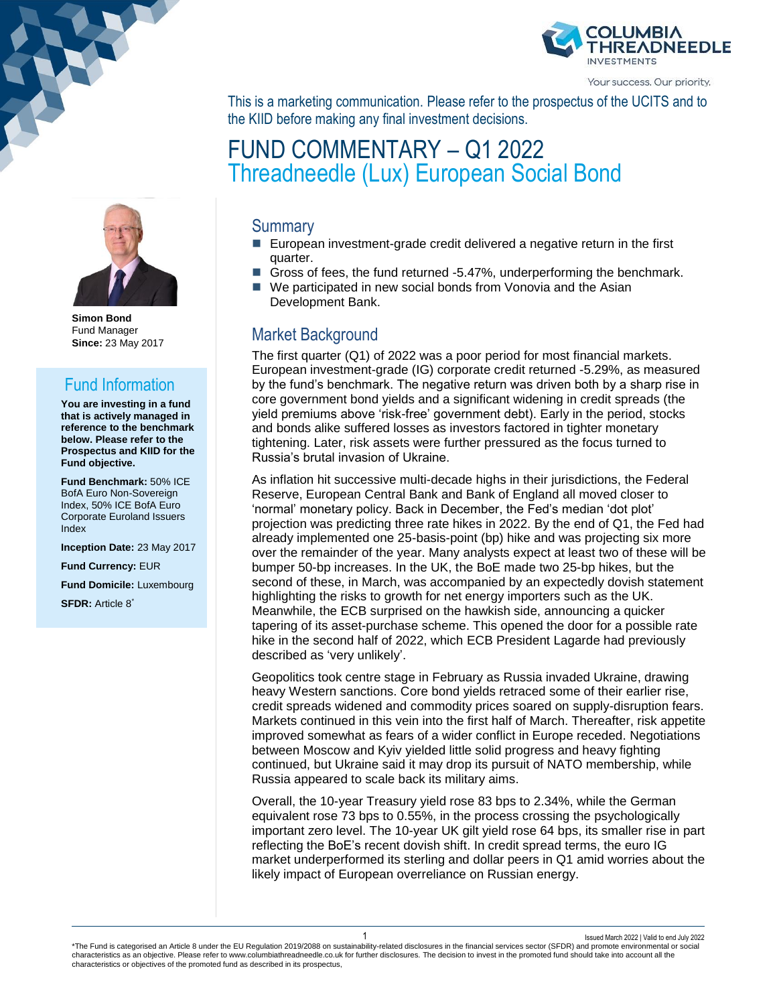

Your success. Our priority.

This is a marketing communication. Please refer to the prospectus of the UCITS and to the KIID before making any final investment decisions.

# FUND COMMENTARY – Q1 2022 Threadneedle (Lux) European Social Bond

#### **Summary**

- European investment-grade credit delivered a negative return in the first quarter.
- Gross of fees, the fund returned -5.47%, underperforming the benchmark.
- We participated in new social bonds from Vonovia and the Asian Development Bank.

### Market Background

The first quarter (Q1) of 2022 was a poor period for most financial markets. European investment-grade (IG) corporate credit returned -5.29%, as measured by the fund's benchmark. The negative return was driven both by a sharp rise in core government bond yields and a significant widening in credit spreads (the yield premiums above 'risk-free' government debt). Early in the period, stocks and bonds alike suffered losses as investors factored in tighter monetary tightening. Later, risk assets were further pressured as the focus turned to Russia's brutal invasion of Ukraine.

As inflation hit successive multi-decade highs in their jurisdictions, the Federal Reserve, European Central Bank and Bank of England all moved closer to 'normal' monetary policy. Back in December, the Fed's median 'dot plot' projection was predicting three rate hikes in 2022. By the end of Q1, the Fed had already implemented one 25-basis-point (bp) hike and was projecting six more over the remainder of the year. Many analysts expect at least two of these will be bumper 50-bp increases. In the UK, the BoE made two 25-bp hikes, but the second of these, in March, was accompanied by an expectedly dovish statement highlighting the risks to growth for net energy importers such as the UK. Meanwhile, the ECB surprised on the hawkish side, announcing a quicker tapering of its asset-purchase scheme. This opened the door for a possible rate hike in the second half of 2022, which ECB President Lagarde had previously described as 'very unlikely'.

Geopolitics took centre stage in February as Russia invaded Ukraine, drawing heavy Western sanctions. Core bond yields retraced some of their earlier rise, credit spreads widened and commodity prices soared on supply-disruption fears. Markets continued in this vein into the first half of March. Thereafter, risk appetite improved somewhat as fears of a wider conflict in Europe receded. Negotiations between Moscow and Kyiv yielded little solid progress and heavy fighting continued, but Ukraine said it may drop its pursuit of NATO membership, while Russia appeared to scale back its military aims.

Overall, the 10-year Treasury yield rose 83 bps to 2.34%, while the German equivalent rose 73 bps to 0.55%, in the process crossing the psychologically important zero level. The 10-year UK gilt yield rose 64 bps, its smaller rise in part reflecting the BoE's recent dovish shift. In credit spread terms, the euro IG market underperformed its sterling and dollar peers in Q1 amid worries about the likely impact of European overreliance on Russian energy.



**Simon Bond** Fund Manager **Since:** 23 May 2017

# Fund Information

**You are investing in a fund that is actively managed in reference to the benchmark below. Please refer to the Prospectus and KIID for the Fund objective.**

**Fund Benchmark:** 50% ICE BofA Euro Non-Sovereign Index, 50% ICE BofA Euro Corporate Euroland Issuers Index

**Inception Date:** 23 May 2017

**Fund Currency:** EUR

**Fund Domicile:** Luxembourg

**SFDR:** Article 8\*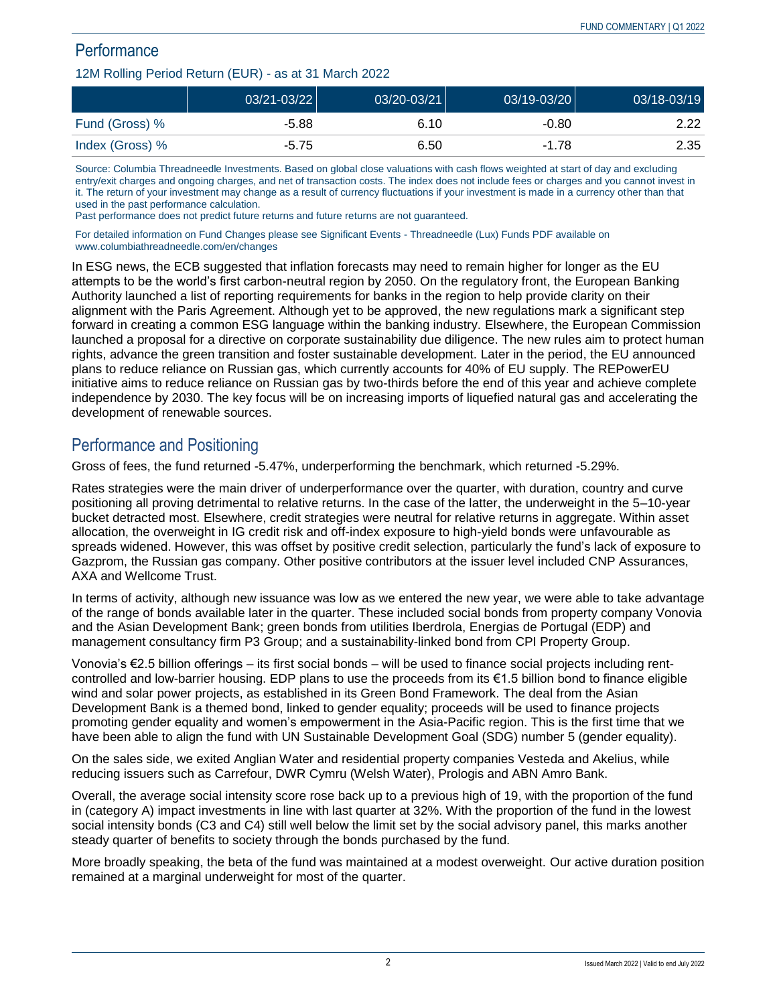# **Performance**

#### 12M Rolling Period Return (EUR) - as at 31 March 2022

|                 | 03/21-03/22 | 03/20-03/21 | $03/19 - 03/20$ | 03/18-03/19 |
|-----------------|-------------|-------------|-----------------|-------------|
| Fund (Gross) %  | -5.88       | 6.10        | $-0.80$         | 2.22        |
| Index (Gross) % | $-5.75$     | 6.50        | -1.78           | 2.35        |

Source: Columbia Threadneedle Investments. Based on global close valuations with cash flows weighted at start of day and excluding entry/exit charges and ongoing charges, and net of transaction costs. The index does not include fees or charges and you cannot invest in it. The return of your investment may change as a result of currency fluctuations if your investment is made in a currency other than that used in the past performance calculation.

Past performance does not predict future returns and future returns are not guaranteed.

For detailed information on Fund Changes please see Significant Events - Threadneedle (Lux) Funds PDF available on www.columbiathreadneedle.com/en/changes

In ESG news, the ECB suggested that inflation forecasts may need to remain higher for longer as the EU attempts to be the world's first carbon-neutral region by 2050. On the regulatory front, the European Banking Authority launched a list of reporting requirements for banks in the region to help provide clarity on their alignment with the Paris Agreement. Although yet to be approved, the new regulations mark a significant step forward in creating a common ESG language within the banking industry. Elsewhere, the European Commission launched a proposal for a directive on corporate sustainability due diligence. The new rules aim to protect human rights, advance the green transition and foster sustainable development. Later in the period, the EU announced plans to reduce reliance on Russian gas, which currently accounts for 40% of EU supply. The REPowerEU initiative aims to reduce reliance on Russian gas by two-thirds before the end of this year and achieve complete independence by 2030. The key focus will be on increasing imports of liquefied natural gas and accelerating the development of renewable sources.

## Performance and Positioning

Gross of fees, the fund returned -5.47%, underperforming the benchmark, which returned -5.29%.

Rates strategies were the main driver of underperformance over the quarter, with duration, country and curve positioning all proving detrimental to relative returns. In the case of the latter, the underweight in the 5–10-year bucket detracted most. Elsewhere, credit strategies were neutral for relative returns in aggregate. Within asset allocation, the overweight in IG credit risk and off-index exposure to high-yield bonds were unfavourable as spreads widened. However, this was offset by positive credit selection, particularly the fund's lack of exposure to Gazprom, the Russian gas company. Other positive contributors at the issuer level included CNP Assurances, AXA and Wellcome Trust.

In terms of activity, although new issuance was low as we entered the new year, we were able to take advantage of the range of bonds available later in the quarter. These included social bonds from property company Vonovia and the Asian Development Bank; green bonds from utilities Iberdrola, Energias de Portugal (EDP) and management consultancy firm P3 Group; and a sustainability-linked bond from CPI Property Group.

Vonovia's €2.5 billion offerings – its first social bonds – will be used to finance social projects including rentcontrolled and low-barrier housing. EDP plans to use the proceeds from its €1.5 billion bond to finance eligible wind and solar power projects, as established in its Green Bond Framework. The deal from the Asian Development Bank is a themed bond, linked to gender equality; proceeds will be used to finance projects promoting gender equality and women's empowerment in the Asia-Pacific region. This is the first time that we have been able to align the fund with UN Sustainable Development Goal (SDG) number 5 (gender equality).

On the sales side, we exited Anglian Water and residential property companies Vesteda and Akelius, while reducing issuers such as Carrefour, DWR Cymru (Welsh Water), Prologis and ABN Amro Bank.

Overall, the average social intensity score rose back up to a previous high of 19, with the proportion of the fund in (category A) impact investments in line with last quarter at 32%. With the proportion of the fund in the lowest social intensity bonds (C3 and C4) still well below the limit set by the social advisory panel, this marks another steady quarter of benefits to society through the bonds purchased by the fund.

More broadly speaking, the beta of the fund was maintained at a modest overweight. Our active duration position remained at a marginal underweight for most of the quarter.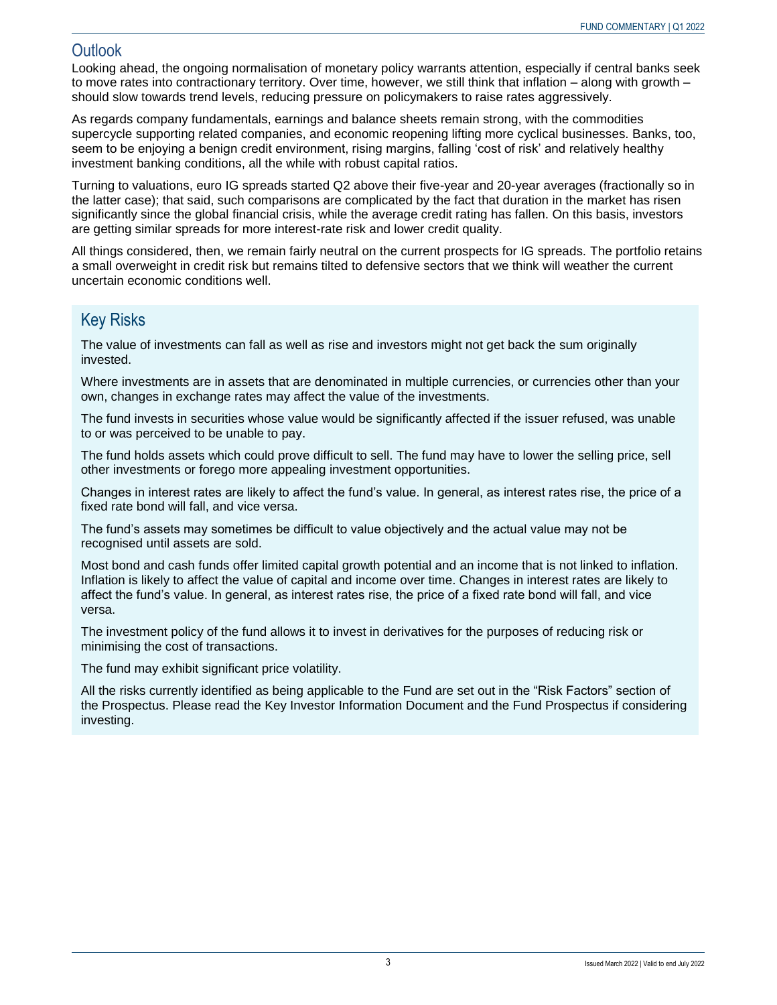### Outlook

Looking ahead, the ongoing normalisation of monetary policy warrants attention, especially if central banks seek to move rates into contractionary territory. Over time, however, we still think that inflation – along with growth – should slow towards trend levels, reducing pressure on policymakers to raise rates aggressively.

As regards company fundamentals, earnings and balance sheets remain strong, with the commodities supercycle supporting related companies, and economic reopening lifting more cyclical businesses. Banks, too, seem to be enjoying a benign credit environment, rising margins, falling 'cost of risk' and relatively healthy investment banking conditions, all the while with robust capital ratios.

Turning to valuations, euro IG spreads started Q2 above their five-year and 20-year averages (fractionally so in the latter case); that said, such comparisons are complicated by the fact that duration in the market has risen significantly since the global financial crisis, while the average credit rating has fallen. On this basis, investors are getting similar spreads for more interest-rate risk and lower credit quality.

All things considered, then, we remain fairly neutral on the current prospects for IG spreads. The portfolio retains a small overweight in credit risk but remains tilted to defensive sectors that we think will weather the current uncertain economic conditions well.

## Key Risks

The value of investments can fall as well as rise and investors might not get back the sum originally invested.

Where investments are in assets that are denominated in multiple currencies, or currencies other than your own, changes in exchange rates may affect the value of the investments.

The fund invests in securities whose value would be significantly affected if the issuer refused, was unable to or was perceived to be unable to pay.

The fund holds assets which could prove difficult to sell. The fund may have to lower the selling price, sell other investments or forego more appealing investment opportunities.

Changes in interest rates are likely to affect the fund's value. In general, as interest rates rise, the price of a fixed rate bond will fall, and vice versa.

The fund's assets may sometimes be difficult to value objectively and the actual value may not be recognised until assets are sold.

Most bond and cash funds offer limited capital growth potential and an income that is not linked to inflation. Inflation is likely to affect the value of capital and income over time. Changes in interest rates are likely to affect the fund's value. In general, as interest rates rise, the price of a fixed rate bond will fall, and vice versa.

The investment policy of the fund allows it to invest in derivatives for the purposes of reducing risk or minimising the cost of transactions.

The fund may exhibit significant price volatility.

All the risks currently identified as being applicable to the Fund are set out in the "Risk Factors" section of the Prospectus. Please read the Key Investor Information Document and the Fund Prospectus if considering investing.